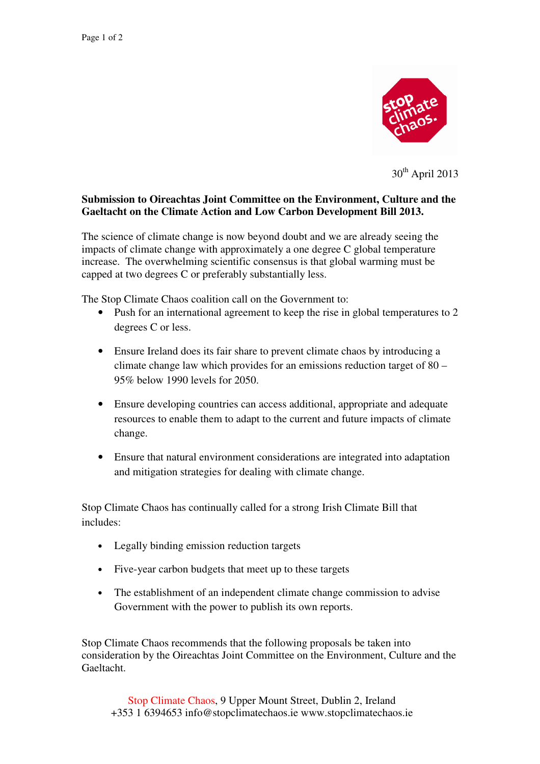

 $30<sup>th</sup>$  April 2013

## **Submission to Oireachtas Joint Committee on the Environment, Culture and the Gaeltacht on the Climate Action and Low Carbon Development Bill 2013.**

The science of climate change is now beyond doubt and we are already seeing the impacts of climate change with approximately a one degree C global temperature increase. The overwhelming scientific consensus is that global warming must be capped at two degrees C or preferably substantially less.

The Stop Climate Chaos coalition call on the Government to:

- Push for an international agreement to keep the rise in global temperatures to 2 degrees C or less.
- Ensure Ireland does its fair share to prevent climate chaos by introducing a climate change law which provides for an emissions reduction target of 80 – 95% below 1990 levels for 2050.
- Ensure developing countries can access additional, appropriate and adequate resources to enable them to adapt to the current and future impacts of climate change.
- Ensure that natural environment considerations are integrated into adaptation and mitigation strategies for dealing with climate change.

Stop Climate Chaos has continually called for a strong Irish Climate Bill that includes:

- Legally binding emission reduction targets
- Five-year carbon budgets that meet up to these targets
- The establishment of an independent climate change commission to advise Government with the power to publish its own reports.

Stop Climate Chaos recommends that the following proposals be taken into consideration by the Oireachtas Joint Committee on the Environment, Culture and the Gaeltacht.

Stop Climate Chaos, 9 Upper Mount Street, Dublin 2, Ireland +353 1 6394653 info@stopclimatechaos.ie www.stopclimatechaos.ie